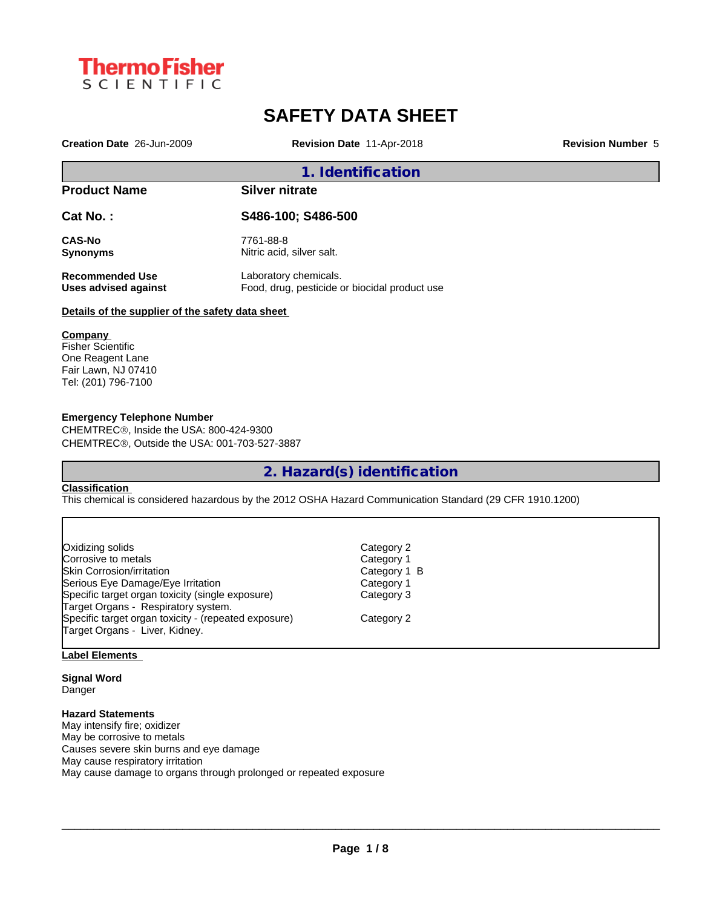

# **SAFETY DATA SHEET**

**Creation Date** 26-Jun-2009 **Revision Date** 11-Apr-2018 **Revision Number** 5

# **1. Identification**

# **Product Name Silver nitrate**

**Cat No. : S486-100; S486-500**

**CAS-No** 7761-88-8<br> **Synonyms** Nitric acid,

Nitric acid, silver salt.

**Recommended Use** Laboratory chemicals.

**Uses advised against** Food, drug, pesticide or biocidal product use

# **Details of the supplier of the safety data sheet**

## **Company**

Fisher Scientific One Reagent Lane Fair Lawn, NJ 07410 Tel: (201) 796-7100

## **Emergency Telephone Number**

CHEMTREC®, Inside the USA: 800-424-9300 CHEMTRECÒ, Outside the USA: 001-703-527-3887

**2. Hazard(s) identification**

## **Classification**

This chemical is considered hazardous by the 2012 OSHA Hazard Communication Standard (29 CFR 1910.1200)

| Category 2   |
|--------------|
| Category 1   |
| Category 1 B |
| Category 1   |
| Category 3   |
|              |
| Category 2   |
|              |
|              |

# **Label Elements**

**Signal Word** Danger

# **Hazard Statements**

May intensify fire; oxidizer May be corrosive to metals Causes severe skin burns and eye damage May cause respiratory irritation May cause damage to organs through prolonged or repeated exposure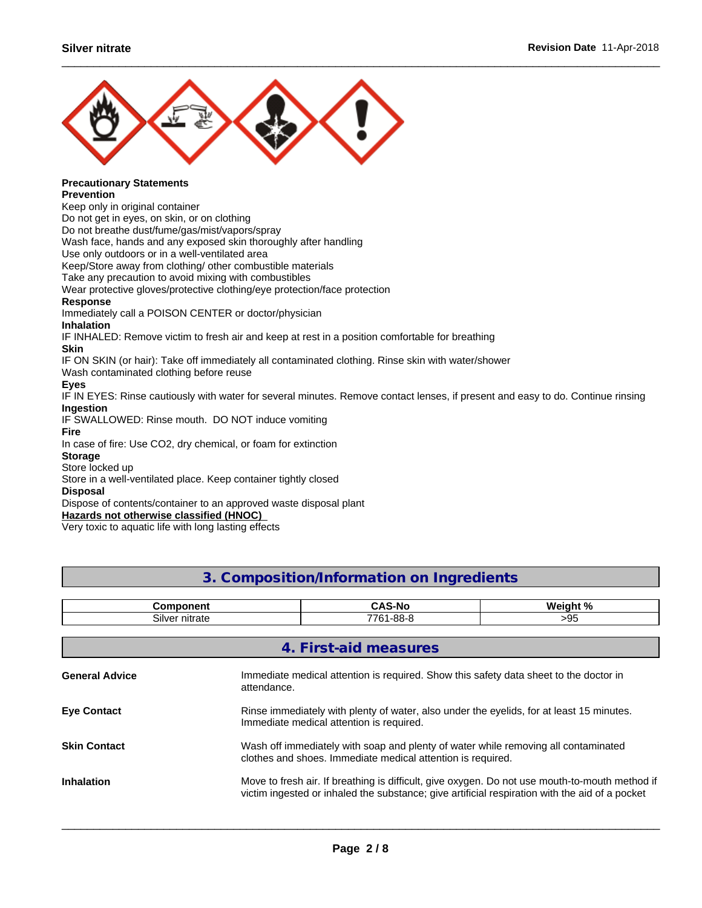

#### **Precautionary Statements Prevention**

Keep only in original container

Do not get in eyes, on skin, or on clothing

Do not breathe dust/fume/gas/mist/vapors/spray

Wash face, hands and any exposed skin thoroughly after handling

Use only outdoors or in a well-ventilated area

Keep/Store away from clothing/ other combustible materials

Take any precaution to avoid mixing with combustibles

Wear protective gloves/protective clothing/eye protection/face protection

# **Response**

Immediately call a POISON CENTER or doctor/physician **Inhalation**

IF INHALED: Remove victim to fresh air and keep at rest in a position comfortable for breathing

# **Skin**

IF ON SKIN (or hair): Take off immediately all contaminated clothing. Rinse skin with water/shower

Wash contaminated clothing before reuse

# **Eyes**

IF IN EYES: Rinse cautiously with water for several minutes. Remove contact lenses, if present and easy to do. Continue rinsing **Ingestion**

IF SWALLOWED: Rinse mouth. DO NOT induce vomiting

#### **Fire**

In case of fire: Use CO2, dry chemical, or foam for extinction

## **Storage**

Store locked up

Store in a well-ventilated place. Keep container tightly closed

# **Disposal**

Dispose of contents/container to an approved waste disposal plant

**Hazards not otherwise classified (HNOC)**

Very toxic to aquatic life with long lasting effects

# **3. Composition/Information on Ingredients**

|                       | <b>Component</b>                                                                                                                                                                                 | <b>CAS-No</b>                                                                         | Weight % |  |
|-----------------------|--------------------------------------------------------------------------------------------------------------------------------------------------------------------------------------------------|---------------------------------------------------------------------------------------|----------|--|
|                       | Silver nitrate                                                                                                                                                                                   | 7761-88-8                                                                             | >95      |  |
|                       |                                                                                                                                                                                                  |                                                                                       |          |  |
|                       |                                                                                                                                                                                                  | 4. First-aid measures                                                                 |          |  |
| <b>General Advice</b> | attendance.                                                                                                                                                                                      | Immediate medical attention is required. Show this safety data sheet to the doctor in |          |  |
| <b>Eye Contact</b>    | Rinse immediately with plenty of water, also under the eyelids, for at least 15 minutes.<br>Immediate medical attention is required.                                                             |                                                                                       |          |  |
| <b>Skin Contact</b>   | Wash off immediately with soap and plenty of water while removing all contaminated<br>clothes and shoes. Immediate medical attention is required.                                                |                                                                                       |          |  |
| <b>Inhalation</b>     | Move to fresh air. If breathing is difficult, give oxygen. Do not use mouth-to-mouth method if<br>victim ingested or inhaled the substance; give artificial respiration with the aid of a pocket |                                                                                       |          |  |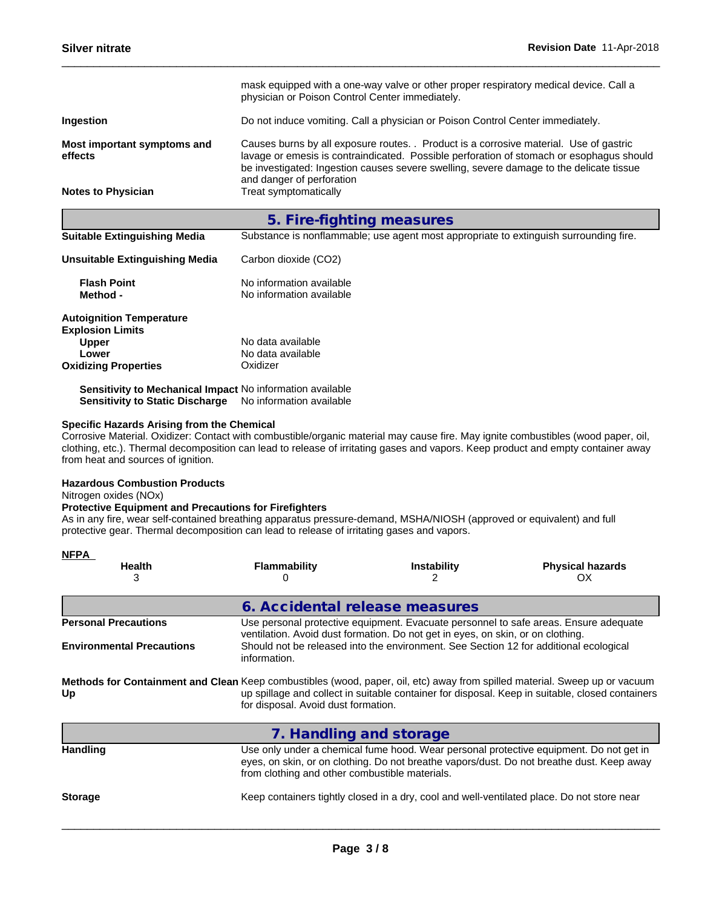|                                        | mask equipped with a one-way valve or other proper respiratory medical device. Call a<br>physician or Poison Control Center immediately.                                                                                                                                                                   |  |  |  |
|----------------------------------------|------------------------------------------------------------------------------------------------------------------------------------------------------------------------------------------------------------------------------------------------------------------------------------------------------------|--|--|--|
| Ingestion                              | Do not induce vomiting. Call a physician or Poison Control Center immediately.                                                                                                                                                                                                                             |  |  |  |
| Most important symptoms and<br>effects | Causes burns by all exposure routes. . Product is a corrosive material. Use of gastric<br>lavage or emesis is contraindicated. Possible perforation of stomach or esophagus should<br>be investigated: Ingestion causes severe swelling, severe damage to the delicate tissue<br>and danger of perforation |  |  |  |
| <b>Notes to Physician</b>              | Treat symptomatically                                                                                                                                                                                                                                                                                      |  |  |  |
|                                        | 5. Fire-fighting measures                                                                                                                                                                                                                                                                                  |  |  |  |
| <b>Suitable Extinguishing Media</b>    | Substance is nonflammable; use agent most appropriate to extinguish surrounding fire.                                                                                                                                                                                                                      |  |  |  |
| Unsuitable Extinguishing Media         | Carbon dioxide (CO2)                                                                                                                                                                                                                                                                                       |  |  |  |
| <b>Flash Point</b><br>Method -         | No information available<br>No information available                                                                                                                                                                                                                                                       |  |  |  |
| <b>Autoignition Temperature</b>        |                                                                                                                                                                                                                                                                                                            |  |  |  |

**Sensitivity to Mechanical Impact** No information available **Sensitivity to Static Discharge** No information available

# **Specific Hazards Arising from the Chemical**

Corrosive Material. Oxidizer: Contact with combustible/organic material may cause fire. May ignite combustibles (wood paper, oil, clothing, etc.). Thermal decomposition can lead to release of irritating gases and vapors. Keep product and empty container away from heat and sources of ignition.

#### **Hazardous Combustion Products**

Nitrogen oxides (NOx)

# **Protective Equipment and Precautions for Firefighters**

As in any fire, wear self-contained breathing apparatus pressure-demand, MSHA/NIOSH (approved or equivalent) and full protective gear. Thermal decomposition can lead to release of irritating gases and vapors.

| <b>NFPA</b>                      |                                                                                                                                                                   |                                                                                       |                                                                                                                                                                                     |
|----------------------------------|-------------------------------------------------------------------------------------------------------------------------------------------------------------------|---------------------------------------------------------------------------------------|-------------------------------------------------------------------------------------------------------------------------------------------------------------------------------------|
| <b>Health</b>                    | <b>Flammability</b>                                                                                                                                               | <b>Instability</b>                                                                    | <b>Physical hazards</b><br>OX                                                                                                                                                       |
|                                  | 6. Accidental release measures                                                                                                                                    |                                                                                       |                                                                                                                                                                                     |
| <b>Personal Precautions</b>      |                                                                                                                                                                   | ventilation. Avoid dust formation. Do not get in eyes, on skin, or on clothing.       | Use personal protective equipment. Evacuate personnel to safe areas. Ensure adequate                                                                                                |
| <b>Environmental Precautions</b> | information.                                                                                                                                                      | Should not be released into the environment. See Section 12 for additional ecological |                                                                                                                                                                                     |
| Up                               | Methods for Containment and Clean Keep combustibles (wood, paper, oil, etc) away from spilled material. Sweep up or vacuum<br>for disposal. Avoid dust formation. |                                                                                       | up spillage and collect in suitable container for disposal. Keep in suitable, closed containers                                                                                     |
|                                  | 7. Handling and storage                                                                                                                                           |                                                                                       |                                                                                                                                                                                     |
| <b>Handling</b>                  | from clothing and other combustible materials.                                                                                                                    |                                                                                       | Use only under a chemical fume hood. Wear personal protective equipment. Do not get in<br>eyes, on skin, or on clothing. Do not breathe vapors/dust. Do not breathe dust. Keep away |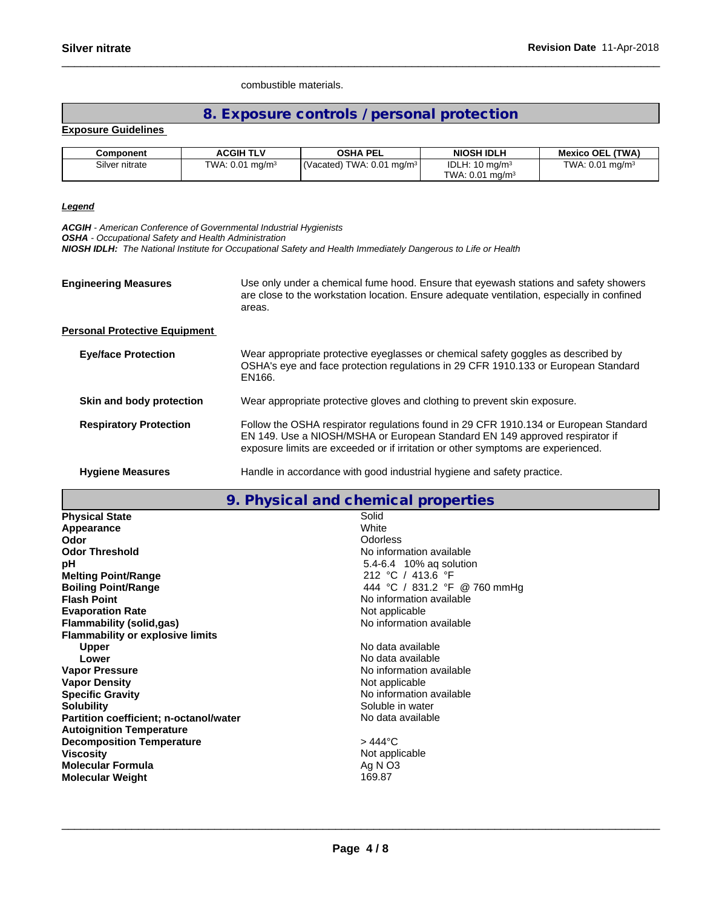combustible materials.

# **8. Exposure controls / personal protection**

# **Exposure Guidelines**

| Component      | <b>ACGIH TLV</b>           | OSHA PEL                            | <b>NIOSH IDLH</b>             | <b>Mexico OEL (TWA)</b>    |
|----------------|----------------------------|-------------------------------------|-------------------------------|----------------------------|
| Silver nitrate | TWA: $0.01 \text{ mg/m}^3$ | $\sqrt{(Vacated) TWA: 0.01 mg/m^3}$ | IDLH: $10 \text{ mg/m}^3$     | TWA: $0.01 \text{ mg/m}^3$ |
|                |                            |                                     | TWA: $0.01$ ma/m <sup>3</sup> |                            |

# *Legend*

*ACGIH - American Conference of Governmental Industrial Hygienists*

*OSHA - Occupational Safety and Health Administration*

*NIOSH IDLH: The National Institute for Occupational Safety and Health Immediately Dangerous to Life or Health*

**Engineering Measures** Use only under a chemical fume hood. Ensure that eyewash stations and safety showers are close to the workstation location. Ensure adequate ventilation, especially in confined areas.

# **Personal Protective Equipment**

| <b>Eye/face Protection</b>    | Wear appropriate protective eyeglasses or chemical safety goggles as described by<br>OSHA's eye and face protection regulations in 29 CFR 1910.133 or European Standard<br>EN166.                                                                       |
|-------------------------------|---------------------------------------------------------------------------------------------------------------------------------------------------------------------------------------------------------------------------------------------------------|
| Skin and body protection      | Wear appropriate protective gloves and clothing to prevent skin exposure.                                                                                                                                                                               |
| <b>Respiratory Protection</b> | Follow the OSHA respirator regulations found in 29 CFR 1910.134 or European Standard<br>EN 149. Use a NIOSH/MSHA or European Standard EN 149 approved respirator if<br>exposure limits are exceeded or if irritation or other symptoms are experienced. |
| <b>Hygiene Measures</b>       | Handle in accordance with good industrial hygiene and safety practice.                                                                                                                                                                                  |

# **9. Physical and chemical properties**

| <b>Physical State</b>                         | Solid                        |
|-----------------------------------------------|------------------------------|
| Appearance                                    | White                        |
| Odor                                          | Odorless                     |
| <b>Odor Threshold</b>                         | No information available     |
| рH                                            | 5.4-6.4 10% ag solution      |
| <b>Melting Point/Range</b>                    | 212 °C / 413.6 °F            |
| <b>Boiling Point/Range</b>                    | 444 °C / 831.2 °F @ 760 mmHg |
| <b>Flash Point</b>                            | No information available     |
| <b>Evaporation Rate</b>                       | Not applicable               |
| Flammability (solid,gas)                      | No information available     |
| <b>Flammability or explosive limits</b>       |                              |
| <b>Upper</b>                                  | No data available            |
| Lower                                         | No data available            |
| <b>Vapor Pressure</b>                         | No information available     |
| <b>Vapor Density</b>                          | Not applicable               |
| <b>Specific Gravity</b>                       | No information available     |
| <b>Solubility</b>                             | Soluble in water             |
| <b>Partition coefficient; n-octanol/water</b> | No data available            |
| <b>Autoignition Temperature</b>               |                              |
| <b>Decomposition Temperature</b>              | $>444^{\circ}$ C             |
| <b>Viscosity</b>                              | Not applicable               |
| <b>Molecular Formula</b>                      | Ag N O3                      |
| <b>Molecular Weight</b>                       | 169.87                       |
|                                               |                              |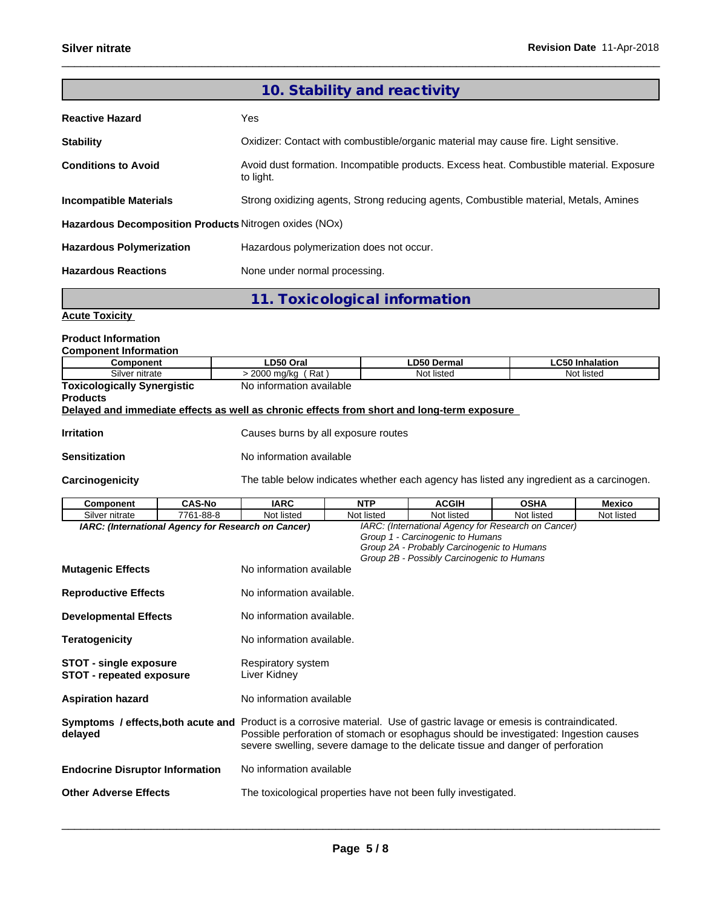|                                                        | 10. Stability and reactivity                                                                          |
|--------------------------------------------------------|-------------------------------------------------------------------------------------------------------|
| <b>Reactive Hazard</b>                                 | Yes.                                                                                                  |
| <b>Stability</b>                                       | Oxidizer: Contact with combustible/organic material may cause fire. Light sensitive.                  |
| <b>Conditions to Avoid</b>                             | Avoid dust formation. Incompatible products. Excess heat. Combustible material. Exposure<br>to light. |
| <b>Incompatible Materials</b>                          | Strong oxidizing agents, Strong reducing agents, Combustible material, Metals, Amines                 |
| Hazardous Decomposition Products Nitrogen oxides (NOx) |                                                                                                       |
| <b>Hazardous Polymerization</b>                        | Hazardous polymerization does not occur.                                                              |
| <b>Hazardous Reactions</b>                             | None under normal processing.                                                                         |

**11. Toxicological information**

# **Acute Toxicity**

# **Product Information**

| <b>Component Information</b>       |                          |             |                        |  |  |  |
|------------------------------------|--------------------------|-------------|------------------------|--|--|--|
| Component                          | LD50 Oral                | LD50 Dermal | <b>LC50 Inhalation</b> |  |  |  |
| Silver nitrate                     | ิ Rat .<br>2000 mg/kg    | Not listed  | Not listed             |  |  |  |
| <b>Toxicologically Synergistic</b> | No information available |             |                        |  |  |  |

# **Products**

# **Delayed and immediate effects as well as chronic effects from short and long-term exposure**

**Irritation Intervellet Causes burns by all exposure routes** 

#### **Sensitization** No information available

Carcinogenicity The table below indicates whether each agency has listed any ingredient as a carcinogen.

| Component                                                                                                                          | <b>CAS-No</b> | <b>IARC</b>                                                                                                                                                              | <b>NTP</b> | <b>ACGIH</b>                                                                                                                 | <b>OSHA</b>                                         | <b>Mexico</b> |
|------------------------------------------------------------------------------------------------------------------------------------|---------------|--------------------------------------------------------------------------------------------------------------------------------------------------------------------------|------------|------------------------------------------------------------------------------------------------------------------------------|-----------------------------------------------------|---------------|
| Silver nitrate                                                                                                                     | 7761-88-8     | Not listed                                                                                                                                                               | Not listed | Not listed                                                                                                                   | Not listed                                          | Not listed    |
| IARC: (International Agency for Research on Cancer)                                                                                |               |                                                                                                                                                                          |            | Group 1 - Carcinogenic to Humans<br>Group 2A - Probably Carcinogenic to Humans<br>Group 2B - Possibly Carcinogenic to Humans | IARC: (International Agency for Research on Cancer) |               |
| <b>Mutagenic Effects</b>                                                                                                           |               | No information available                                                                                                                                                 |            |                                                                                                                              |                                                     |               |
| <b>Reproductive Effects</b>                                                                                                        |               | No information available.                                                                                                                                                |            |                                                                                                                              |                                                     |               |
| <b>Developmental Effects</b>                                                                                                       |               | No information available.                                                                                                                                                |            |                                                                                                                              |                                                     |               |
| <b>Teratogenicity</b>                                                                                                              |               | No information available.                                                                                                                                                |            |                                                                                                                              |                                                     |               |
| <b>STOT - single exposure</b><br><b>STOT - repeated exposure</b>                                                                   |               | Respiratory system<br>Liver Kidney                                                                                                                                       |            |                                                                                                                              |                                                     |               |
| <b>Aspiration hazard</b>                                                                                                           |               | No information available                                                                                                                                                 |            |                                                                                                                              |                                                     |               |
| Symptoms / effects, both acute and Product is a corrosive material. Use of gastric lavage or emesis is contraindicated.<br>delayed |               | Possible perforation of stomach or esophagus should be investigated: Ingestion causes<br>severe swelling, severe damage to the delicate tissue and danger of perforation |            |                                                                                                                              |                                                     |               |
| <b>Endocrine Disruptor Information</b>                                                                                             |               | No information available                                                                                                                                                 |            |                                                                                                                              |                                                     |               |
| <b>Other Adverse Effects</b>                                                                                                       |               | The toxicological properties have not been fully investigated.                                                                                                           |            |                                                                                                                              |                                                     |               |
|                                                                                                                                    |               |                                                                                                                                                                          |            |                                                                                                                              |                                                     |               |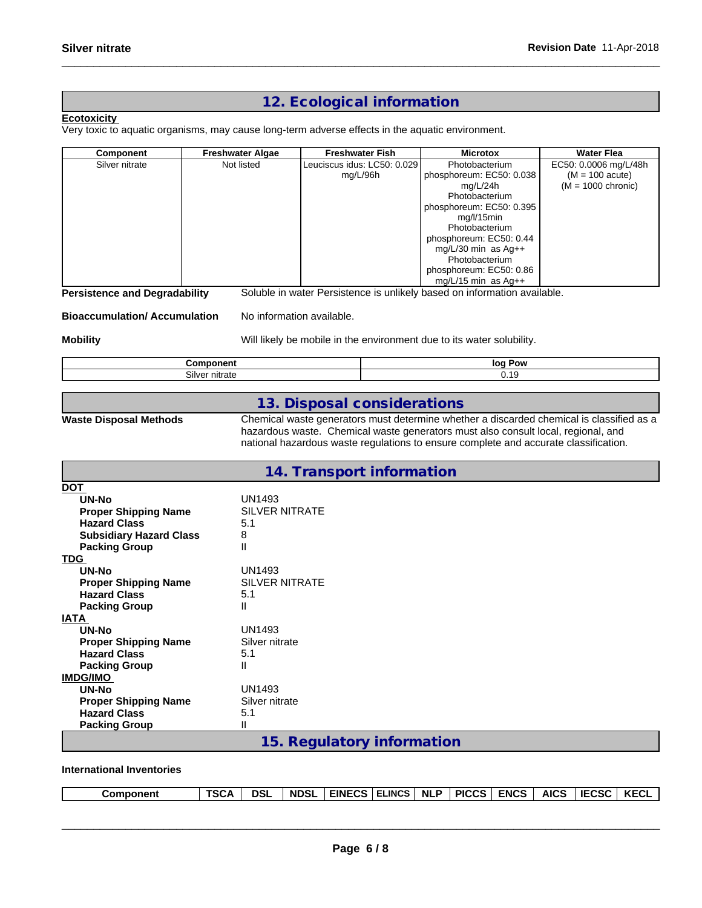# **12. Ecological information**

# **Ecotoxicity**

Very toxic to aquatic organisms, may cause long-term adverse effects in the aquatic environment.

| Component                            | <b>Freshwater Algae</b> | <b>Freshwater Fish</b>                                                   | <b>Microtox</b>          | <b>Water Flea</b>     |
|--------------------------------------|-------------------------|--------------------------------------------------------------------------|--------------------------|-----------------------|
| Silver nitrate                       | Not listed              | Leuciscus idus: LC50: 0.029                                              | Photobacterium           | EC50: 0.0006 mg/L/48h |
|                                      |                         | mg/L/96h                                                                 | phosphoreum: EC50: 0.038 | $(M = 100$ acute)     |
|                                      |                         |                                                                          | mg/L/24h                 | $(M = 1000$ chronic)  |
|                                      |                         |                                                                          | Photobacterium           |                       |
|                                      |                         |                                                                          | phosphoreum: EC50: 0.395 |                       |
|                                      |                         |                                                                          | mg/l/15min               |                       |
|                                      |                         |                                                                          | Photobacterium           |                       |
|                                      |                         |                                                                          | phosphoreum: EC50: 0.44  |                       |
|                                      |                         |                                                                          | mg/L/30 min as $Aq++$    |                       |
|                                      |                         |                                                                          | Photobacterium           |                       |
|                                      |                         |                                                                          | phosphoreum: EC50: 0.86  |                       |
|                                      |                         |                                                                          | mg/L/15 min as $Aq++$    |                       |
| <b>Persistence and Degradability</b> |                         | Soluble in water Persistence is unlikely based on information available. |                          |                       |

**Bioaccumulation/ Accumulation** No information available.

**Mobility** Mobility Will likely be mobile in the environment due to its water solubility.

| -------        | Pow |
|----------------|-----|
| .              | lor |
| Silver nitrate | .   |

# **13. Disposal considerations**

**Waste Disposal Methods** Chemical waste generators must determine whether a discarded chemical is classified as a hazardous waste. Chemical waste generators must also consult local, regional, and national hazardous waste regulations to ensure complete and accurate classification.

|                                | 14. Transport information  |
|--------------------------------|----------------------------|
| <b>DOT</b>                     |                            |
| UN-No                          | <b>UN1493</b>              |
| <b>Proper Shipping Name</b>    | <b>SILVER NITRATE</b>      |
| <b>Hazard Class</b>            | 5.1                        |
| <b>Subsidiary Hazard Class</b> | 8                          |
| <b>Packing Group</b>           | Ш                          |
| <b>TDG</b>                     |                            |
| UN-No                          | <b>UN1493</b>              |
| <b>Proper Shipping Name</b>    | <b>SILVER NITRATE</b>      |
| <b>Hazard Class</b>            | 5.1                        |
| <b>Packing Group</b>           | Ш                          |
| <b>IATA</b>                    |                            |
| UN-No                          | <b>UN1493</b>              |
| <b>Proper Shipping Name</b>    | Silver nitrate             |
| <b>Hazard Class</b>            | 5.1                        |
| <b>Packing Group</b>           | Ш                          |
| <b>IMDG/IMO</b>                |                            |
| <b>UN-No</b>                   | <b>UN1493</b>              |
| <b>Proper Shipping Name</b>    | Silver nitrate             |
| <b>Hazard Class</b>            | 5.1                        |
| <b>Packing Group</b>           | П                          |
|                                | 15. Regulatory information |

**International Inventories**

| <b>LELINCS</b><br><b>IECSC</b><br><b>KECL</b><br><b>AICS</b><br><b>ENCS</b><br><b>DSL</b><br><b>NDSL</b><br><b>NLP</b><br><b>EINECS</b><br><b>PICCS</b><br>TSCA<br><b>Component</b> |
|-------------------------------------------------------------------------------------------------------------------------------------------------------------------------------------|
|-------------------------------------------------------------------------------------------------------------------------------------------------------------------------------------|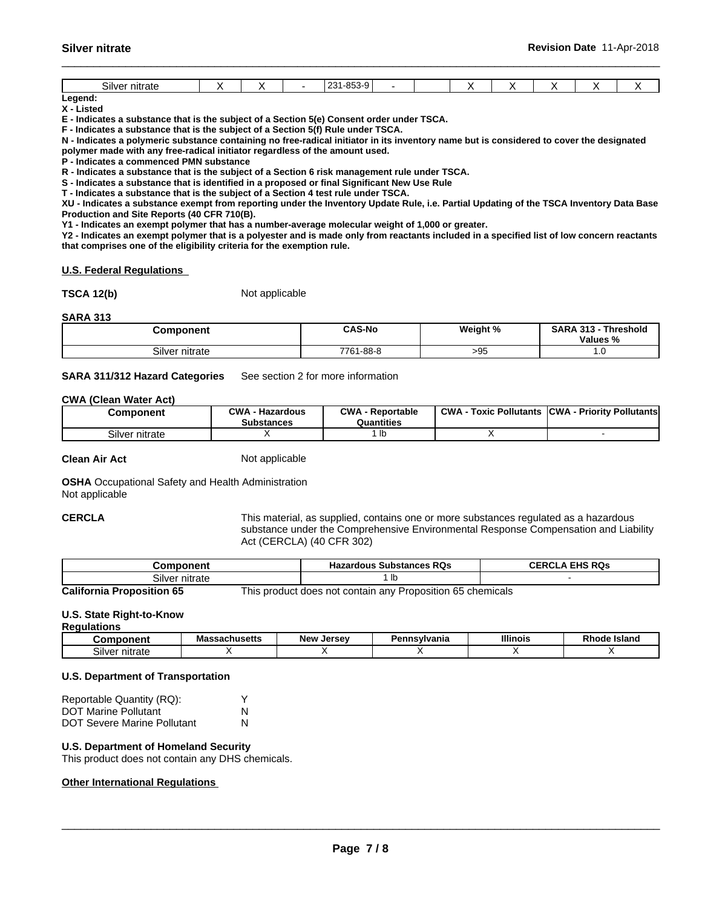# **Legend:**

**X - Listed**

**E - Indicates a substance that is the subject of a Section 5(e) Consent order under TSCA.**

**F - Indicates a substance that is the subject of a Section 5(f) Rule under TSCA.**

**N - Indicates a polymeric substance containing no free-radical initiator in its inventory name but is considered to cover the designated polymer made with any free-radical initiator regardless of the amount used.**

**P - Indicates a commenced PMN substance**

**R - Indicates a substance that is the subject of a Section 6 risk management rule under TSCA.**

**S - Indicates a substance that is identified in a proposed or final Significant New Use Rule**

**T - Indicates a substance that is the subject of a Section 4 test rule under TSCA.**

**XU - Indicates a substance exempt from reporting under the Inventory Update Rule, i.e. Partial Updating of the TSCA Inventory Data Base Production and Site Reports (40 CFR 710(B).**

**Y1 - Indicates an exempt polymer that has a number-average molecular weight of 1,000 or greater.**

**Y2 - Indicates an exempt polymer that is a polyester and is made only from reactants included in a specified list of low concern reactants that comprises one of the eligibility criteria for the exemption rule.**

#### **U.S. Federal Regulations**

**TSCA 12(b)** Not applicable

#### **SARA 313**

| Component          | <b>CAS-No</b> | Weight %<br>× | CADA 242<br>Threshold<br>SARA<br>- 1<br>.<br><b>Values</b><br>70 |
|--------------------|---------------|---------------|------------------------------------------------------------------|
| $\sim \cdot \cdot$ | 1-88-8        | - -           | $\cdot \cdot \cdot$                                              |
| Silver nitrate     | 7761          | -90           |                                                                  |

#### **SARA 311/312 Hazard Categories** See section 2 for more information

#### **CWA** (Clean Water Act)

| Component      | <b>CWA</b><br><b>Hazardous</b><br>- -<br><b>Substances</b> | CWA<br>- Reportable<br>Quantities | <b>CWA</b><br>: Pollutants<br>Toxic | <b>ICWA</b><br>- Prioritv Pollutantsl |
|----------------|------------------------------------------------------------|-----------------------------------|-------------------------------------|---------------------------------------|
| Silver nitrate |                                                            | שו                                |                                     |                                       |

**Clean Air Act** Not applicable

**OSHA** Occupational Safety and Health Administration Not applicable

**CERCLA** This material, as supplied, contains one or more substances regulated as a hazardous substance under the Comprehensive Environmental Response Compensation and Liability Act (CERCLA) (40 CFR 302)

| Component                        | <b>Hazardous Substances RQs</b>                            | <b>CERCLA EHS RQS</b> |
|----------------------------------|------------------------------------------------------------|-----------------------|
| Silver nitrate                   |                                                            |                       |
| <b>California Proposition 65</b> | This product does not contain any Proposition 65 chemicals |                       |

# **U.S. State Right-to-Know**

#### **Regulations**

| .                        |                             |                      |                    |                 |                       |
|--------------------------|-----------------------------|----------------------|--------------------|-----------------|-----------------------|
|                          | Anucatte -<br>--<br>аспизыв | Jersev<br><b>New</b> | ısvlvania<br>сппэт | <b>Illinois</b> | <b>Island</b><br>ארזכ |
| - -<br>ilverد<br>าıtrat∈ |                             |                      |                    |                 |                       |

## **U.S. Department of Transportation**

| Reportable Quantity (RQ):          |   |
|------------------------------------|---|
| <b>DOT Marine Pollutant</b>        | N |
| <b>DOT Severe Marine Pollutant</b> | N |

## **U.S. Department of Homeland Security**

This product does not contain any DHS chemicals.

# **Other International Regulations**